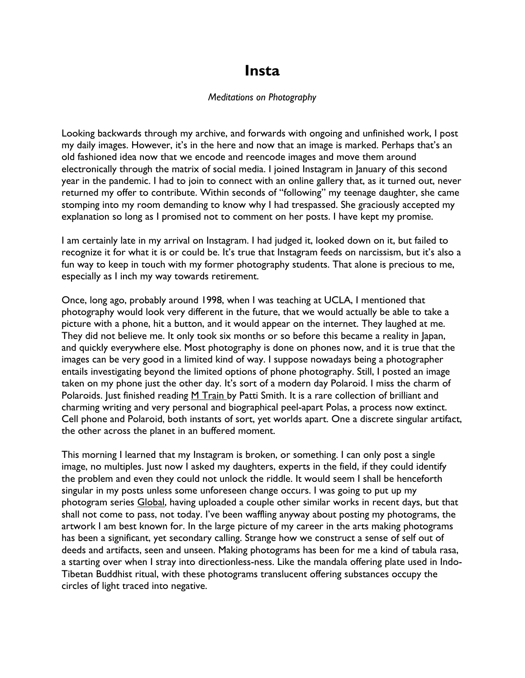## **Insta**

## *Meditations on Photography*

Looking backwards through my archive, and forwards with ongoing and unfinished work, I post my daily images. However, it's in the here and now that an image is marked. Perhaps that's an old fashioned idea now that we encode and reencode images and move them around electronically through the matrix of social media. I joined Instagram in January of this second year in the pandemic. I had to join to connect with an online gallery that, as it turned out, never returned my offer to contribute. Within seconds of "following" my teenage daughter, she came stomping into my room demanding to know why I had trespassed. She graciously accepted my explanation so long as I promised not to comment on her posts. I have kept my promise.

I am certainly late in my arrival on Instagram. I had judged it, looked down on it, but failed to recognize it for what it is or could be. It's true that Instagram feeds on narcissism, but it's also a fun way to keep in touch with my former photography students. That alone is precious to me, especially as I inch my way towards retirement.

Once, long ago, probably around 1998, when I was teaching at UCLA, I mentioned that photography would look very different in the future, that we would actually be able to take a picture with a phone, hit a button, and it would appear on the internet. They laughed at me. They did not believe me. It only took six months or so before this became a reality in Japan, and quickly everywhere else. Most photography is done on phones now, and it is true that the images can be very good in a limited kind of way. I suppose nowadays being a photographer entails investigating beyond the limited options of phone photography. Still, I posted an image taken on my phone just the other day. It's sort of a modern day Polaroid. I miss the charm of Polaroids. Just finished reading M Train by Patti Smith. It is a rare collection of brilliant and charming writing and very personal and biographical peel-apart Polas, a process now extinct. Cell phone and Polaroid, both instants of sort, yet worlds apart. One a discrete singular artifact, the other across the planet in an buffered moment.

This morning I learned that my Instagram is broken, or something. I can only post a single image, no multiples. Just now I asked my daughters, experts in the field, if they could identify the problem and even they could not unlock the riddle. It would seem I shall be henceforth singular in my posts unless some unforeseen change occurs. I was going to put up my photogram series Global, having uploaded a couple other similar works in recent days, but that shall not come to pass, not today. I've been waffling anyway about posting my photograms, the artwork I am best known for. In the large picture of my career in the arts making photograms has been a significant, yet secondary calling. Strange how we construct a sense of self out of deeds and artifacts, seen and unseen. Making photograms has been for me a kind of tabula rasa, a starting over when I stray into directionless-ness. Like the mandala offering plate used in Indo-Tibetan Buddhist ritual, with these photograms translucent offering substances occupy the circles of light traced into negative.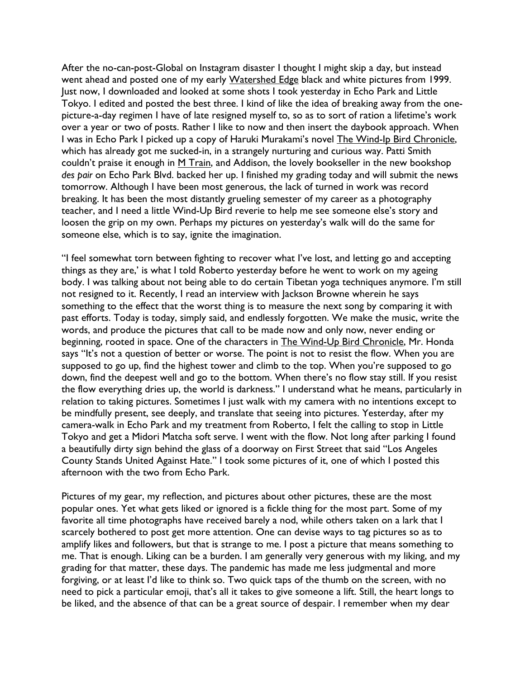After the no-can-post-Global on Instagram disaster I thought I might skip a day, but instead went ahead and posted one of my early Watershed Edge black and white pictures from 1999. Just now, I downloaded and looked at some shots I took yesterday in Echo Park and Little Tokyo. I edited and posted the best three. I kind of like the idea of breaking away from the onepicture-a-day regimen I have of late resigned myself to, so as to sort of ration a lifetime's work over a year or two of posts. Rather I like to now and then insert the daybook approach. When I was in Echo Park I picked up a copy of Haruki Murakami's novel The Wind-Ip Bird Chronicle, which has already got me sucked-in, in a strangely nurturing and curious way. Patti Smith couldn't praise it enough in  $M$  Train, and Addison, the lovely bookseller in the new bookshop *des pair* on Echo Park Blvd. backed her up. I finished my grading today and will submit the news tomorrow. Although I have been most generous, the lack of turned in work was record breaking. It has been the most distantly grueling semester of my career as a photography teacher, and I need a little Wind-Up Bird reverie to help me see someone else's story and loosen the grip on my own. Perhaps my pictures on yesterday's walk will do the same for someone else, which is to say, ignite the imagination.

"I feel somewhat torn between fighting to recover what I've lost, and letting go and accepting things as they are,' is what I told Roberto yesterday before he went to work on my ageing body. I was talking about not being able to do certain Tibetan yoga techniques anymore. I'm still not resigned to it. Recently, I read an interview with Jackson Browne wherein he says something to the effect that the worst thing is to measure the next song by comparing it with past efforts. Today is today, simply said, and endlessly forgotten. We make the music, write the words, and produce the pictures that call to be made now and only now, never ending or beginning, rooted in space. One of the characters in The Wind-Up Bird Chronicle, Mr. Honda says "It's not a question of better or worse. The point is not to resist the flow. When you are supposed to go up, find the highest tower and climb to the top. When you're supposed to go down, find the deepest well and go to the bottom. When there's no flow stay still. If you resist the flow everything dries up, the world is darkness." I understand what he means, particularly in relation to taking pictures. Sometimes I just walk with my camera with no intentions except to be mindfully present, see deeply, and translate that seeing into pictures. Yesterday, after my camera-walk in Echo Park and my treatment from Roberto, I felt the calling to stop in Little Tokyo and get a Midori Matcha soft serve. I went with the flow. Not long after parking I found a beautifully dirty sign behind the glass of a doorway on First Street that said "Los Angeles County Stands United Against Hate." I took some pictures of it, one of which I posted this afternoon with the two from Echo Park.

Pictures of my gear, my reflection, and pictures about other pictures, these are the most popular ones. Yet what gets liked or ignored is a fickle thing for the most part. Some of my favorite all time photographs have received barely a nod, while others taken on a lark that I scarcely bothered to post get more attention. One can devise ways to tag pictures so as to amplify likes and followers, but that is strange to me. I post a picture that means something to me. That is enough. Liking can be a burden. I am generally very generous with my liking, and my grading for that matter, these days. The pandemic has made me less judgmental and more forgiving, or at least I'd like to think so. Two quick taps of the thumb on the screen, with no need to pick a particular emoji, that's all it takes to give someone a lift. Still, the heart longs to be liked, and the absence of that can be a great source of despair. I remember when my dear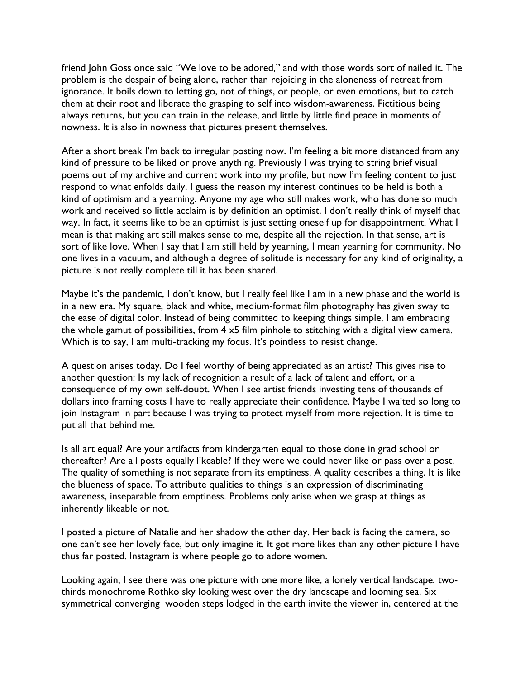friend John Goss once said "We love to be adored," and with those words sort of nailed it. The problem is the despair of being alone, rather than rejoicing in the aloneness of retreat from ignorance. It boils down to letting go, not of things, or people, or even emotions, but to catch them at their root and liberate the grasping to self into wisdom-awareness. Fictitious being always returns, but you can train in the release, and little by little find peace in moments of nowness. It is also in nowness that pictures present themselves.

After a short break I'm back to irregular posting now. I'm feeling a bit more distanced from any kind of pressure to be liked or prove anything. Previously I was trying to string brief visual poems out of my archive and current work into my profile, but now I'm feeling content to just respond to what enfolds daily. I guess the reason my interest continues to be held is both a kind of optimism and a yearning. Anyone my age who still makes work, who has done so much work and received so little acclaim is by definition an optimist. I don't really think of myself that way. In fact, it seems like to be an optimist is just setting oneself up for disappointment. What I mean is that making art still makes sense to me, despite all the rejection. In that sense, art is sort of like love. When I say that I am still held by yearning, I mean yearning for community. No one lives in a vacuum, and although a degree of solitude is necessary for any kind of originality, a picture is not really complete till it has been shared.

Maybe it's the pandemic, I don't know, but I really feel like I am in a new phase and the world is in a new era. My square, black and white, medium-format film photography has given sway to the ease of digital color. Instead of being committed to keeping things simple, I am embracing the whole gamut of possibilities, from 4 x5 film pinhole to stitching with a digital view camera. Which is to say, I am multi-tracking my focus. It's pointless to resist change.

A question arises today. Do I feel worthy of being appreciated as an artist? This gives rise to another question: Is my lack of recognition a result of a lack of talent and effort, or a consequence of my own self-doubt. When I see artist friends investing tens of thousands of dollars into framing costs I have to really appreciate their confidence. Maybe I waited so long to join Instagram in part because I was trying to protect myself from more rejection. It is time to put all that behind me.

Is all art equal? Are your artifacts from kindergarten equal to those done in grad school or thereafter? Are all posts equally likeable? If they were we could never like or pass over a post. The quality of something is not separate from its emptiness. A quality describes a thing. It is like the blueness of space. To attribute qualities to things is an expression of discriminating awareness, inseparable from emptiness. Problems only arise when we grasp at things as inherently likeable or not.

I posted a picture of Natalie and her shadow the other day. Her back is facing the camera, so one can't see her lovely face, but only imagine it. It got more likes than any other picture I have thus far posted. Instagram is where people go to adore women.

Looking again, I see there was one picture with one more like, a lonely vertical landscape, twothirds monochrome Rothko sky looking west over the dry landscape and looming sea. Six symmetrical converging wooden steps lodged in the earth invite the viewer in, centered at the